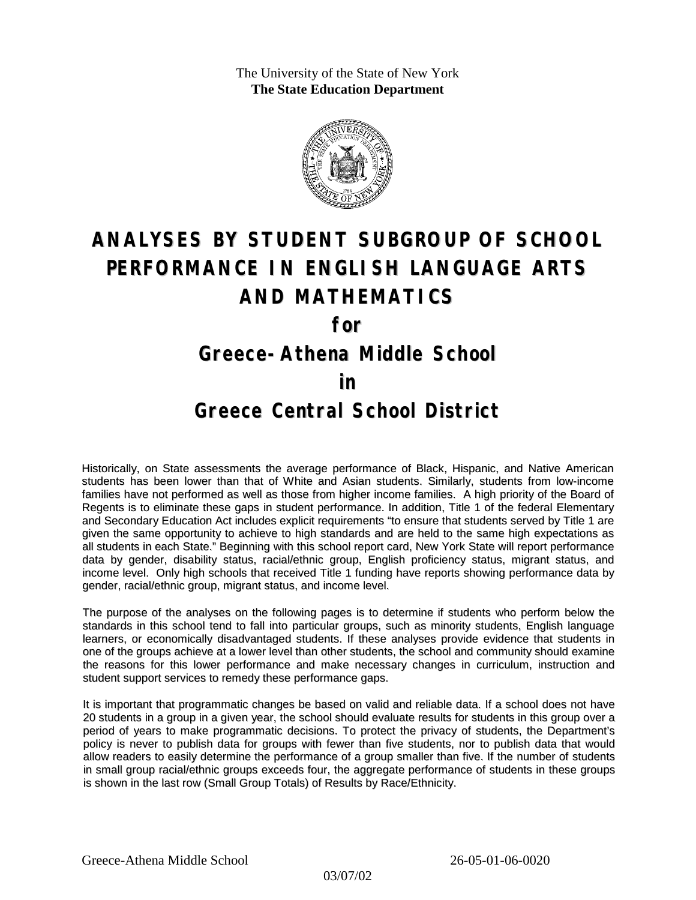The University of the State of New York **The State Education Department**



# **ANALYSES BY STUDENT SUBGROUP OF SCHOOL PERFORMANCE IN ENGLISH LANGUAGE ARTS AND MATHEMATICS**

**for**

### **Greece-Athena Middle School**

#### **in**

### **Greece Central School District**

Historically, on State assessments the average performance of Black, Hispanic, and Native American students has been lower than that of White and Asian students. Similarly, students from low-income families have not performed as well as those from higher income families. A high priority of the Board of Regents is to eliminate these gaps in student performance. In addition, Title 1 of the federal Elementary and Secondary Education Act includes explicit requirements "to ensure that students served by Title 1 are given the same opportunity to achieve to high standards and are held to the same high expectations as all students in each State." Beginning with this school report card, New York State will report performance data by gender, disability status, racial/ethnic group, English proficiency status, migrant status, and income level. Only high schools that received Title 1 funding have reports showing performance data by gender, racial/ethnic group, migrant status, and income level.

The purpose of the analyses on the following pages is to determine if students who perform below the standards in this school tend to fall into particular groups, such as minority students, English language learners, or economically disadvantaged students. If these analyses provide evidence that students in one of the groups achieve at a lower level than other students, the school and community should examine the reasons for this lower performance and make necessary changes in curriculum, instruction and student support services to remedy these performance gaps.

It is important that programmatic changes be based on valid and reliable data. If a school does not have 20 students in a group in a given year, the school should evaluate results for students in this group over a period of years to make programmatic decisions. To protect the privacy of students, the Department's policy is never to publish data for groups with fewer than five students, nor to publish data that would allow readers to easily determine the performance of a group smaller than five. If the number of students in small group racial/ethnic groups exceeds four, the aggregate performance of students in these groups is shown in the last row (Small Group Totals) of Results by Race/Ethnicity.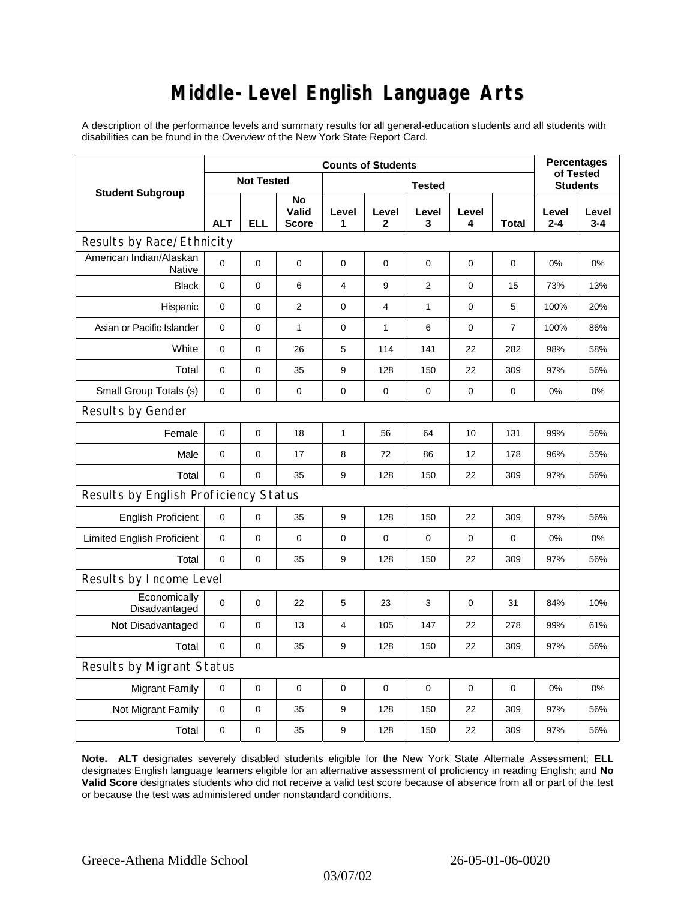# **Middle-Level English Language Arts**

A description of the performance levels and summary results for all general-education students and all students with disabilities can be found in the *Overview* of the New York State Report Card.

| <b>Student Subgroup</b>               | <b>Counts of Students</b> |            |                             |                |              |                |             |       | <b>Percentages</b><br>of Tested |              |  |
|---------------------------------------|---------------------------|------------|-----------------------------|----------------|--------------|----------------|-------------|-------|---------------------------------|--------------|--|
|                                       | <b>Not Tested</b>         |            |                             | <b>Tested</b>  |              |                |             |       | <b>Students</b>                 |              |  |
|                                       | <b>ALT</b>                | <b>ELL</b> | No<br>Valid<br><b>Score</b> | Level<br>1     | Level<br>2   | Level<br>3     | Level<br>4  | Total | Level<br>$2 - 4$                | Level<br>3-4 |  |
| Results by Race/Ethnicity             |                           |            |                             |                |              |                |             |       |                                 |              |  |
| American Indian/Alaskan<br>Native     | $\mathbf 0$               | 0          | $\pmb{0}$                   | $\mathbf 0$    | 0            | $\mathbf 0$    | 0           | 0     | 0%                              | 0%           |  |
| <b>Black</b>                          | 0                         | 0          | 6                           | $\overline{4}$ | 9            | $\overline{2}$ | $\mathbf 0$ | 15    | 73%                             | 13%          |  |
| Hispanic                              | 0                         | 0          | $\overline{2}$              | $\mathbf 0$    | 4            | $\mathbf{1}$   | $\mathbf 0$ | 5     | 100%                            | 20%          |  |
| Asian or Pacific Islander             | 0                         | 0          | $\mathbf{1}$                | $\mathbf 0$    | $\mathbf{1}$ | 6              | $\mathbf 0$ | 7     | 100%                            | 86%          |  |
| White                                 | 0                         | 0          | 26                          | $\mathbf 5$    | 114          | 141            | 22          | 282   | 98%                             | 58%          |  |
| Total                                 | 0                         | $\pmb{0}$  | 35                          | 9              | 128          | 150            | 22          | 309   | 97%                             | 56%          |  |
| Small Group Totals (s)                | 0                         | 0          | $\mathbf 0$                 | $\mathbf 0$    | $\mathbf 0$  | 0              | $\pmb{0}$   | 0     | 0%                              | 0%           |  |
| Results by Gender                     |                           |            |                             |                |              |                |             |       |                                 |              |  |
| Female                                | 0                         | 0          | 18                          | $\mathbf{1}$   | 56           | 64             | 10          | 131   | 99%                             | 56%          |  |
| Male                                  | $\mathbf 0$               | 0          | 17                          | 8              | 72           | 86             | 12          | 178   | 96%                             | 55%          |  |
| Total                                 | 0                         | 0          | 35                          | 9              | 128          | 150            | 22          | 309   | 97%                             | 56%          |  |
| Results by English Proficiency Status |                           |            |                             |                |              |                |             |       |                                 |              |  |
| <b>English Proficient</b>             | 0                         | 0          | 35                          | 9              | 128          | 150            | 22          | 309   | 97%                             | 56%          |  |
| <b>Limited English Proficient</b>     | 0                         | 0          | $\pmb{0}$                   | $\pmb{0}$      | $\mathbf 0$  | 0              | 0           | 0     | 0%                              | 0%           |  |
| Total                                 | $\mathbf 0$               | 0          | 35                          | 9              | 128          | 150            | 22          | 309   | 97%                             | 56%          |  |
| Results by Income Level               |                           |            |                             |                |              |                |             |       |                                 |              |  |
| Economically<br>Disadvantaged         | $\mathbf 0$               | 0          | 22                          | 5              | 23           | 3              | 0           | 31    | 84%                             | 10%          |  |
| Not Disadvantaged                     | $\mathbf 0$               | 0          | 13                          | 4              | 105          | 147            | 22          | 278   | 99%                             | 61%          |  |
| Total                                 | 0                         | $\pmb{0}$  | 35                          | 9              | 128          | 150            | 22          | 309   | 97%                             | 56%          |  |
| Results by Migrant Status             |                           |            |                             |                |              |                |             |       |                                 |              |  |
| <b>Migrant Family</b>                 | $\pmb{0}$                 | 0          | $\mathbf 0$                 | $\mathbf 0$    | $\mathbf 0$  | $\mathbf 0$    | 0           | 0     | 0%                              | 0%           |  |
| Not Migrant Family                    | 0                         | $\pmb{0}$  | 35                          | 9              | 128          | 150            | 22          | 309   | 97%                             | 56%          |  |
| Total                                 | 0                         | 0          | 35                          | 9              | 128          | 150            | 22          | 309   | 97%                             | 56%          |  |

**Note. ALT** designates severely disabled students eligible for the New York State Alternate Assessment; **ELL** designates English language learners eligible for an alternative assessment of proficiency in reading English; and **No Valid Score** designates students who did not receive a valid test score because of absence from all or part of the test or because the test was administered under nonstandard conditions.